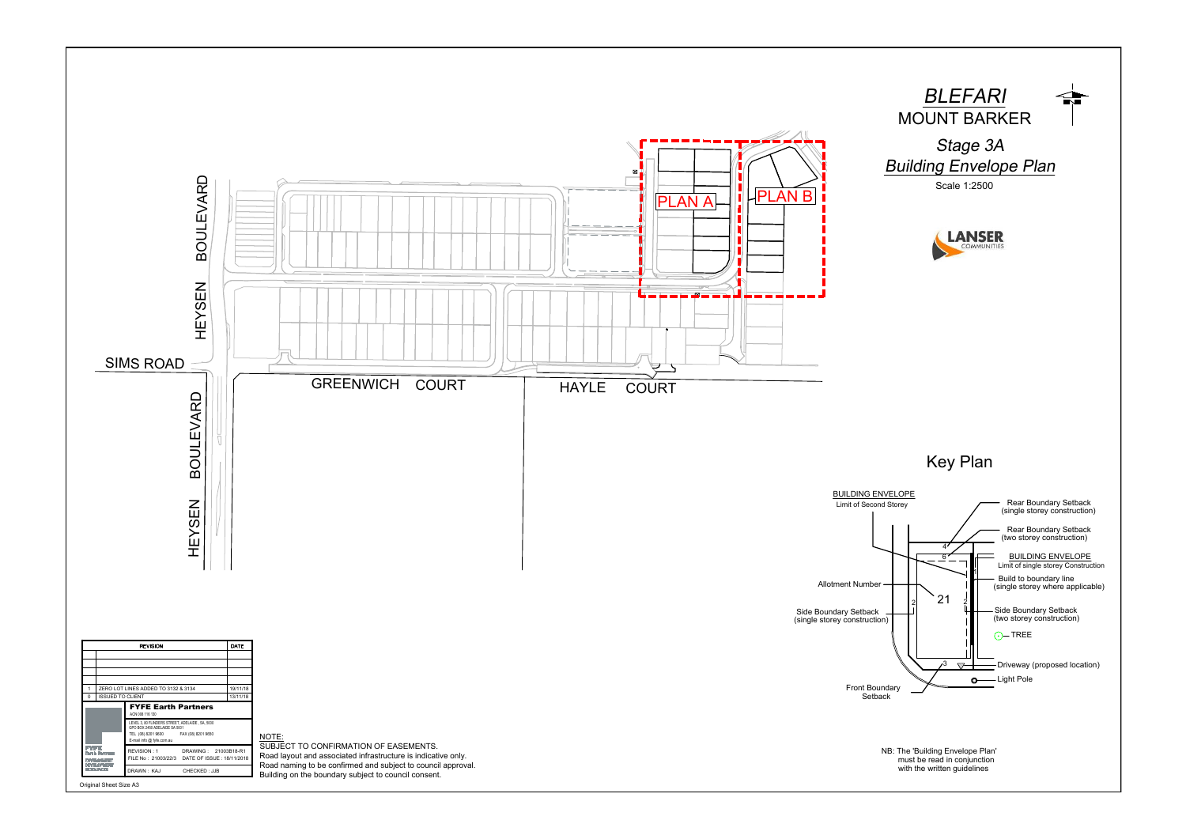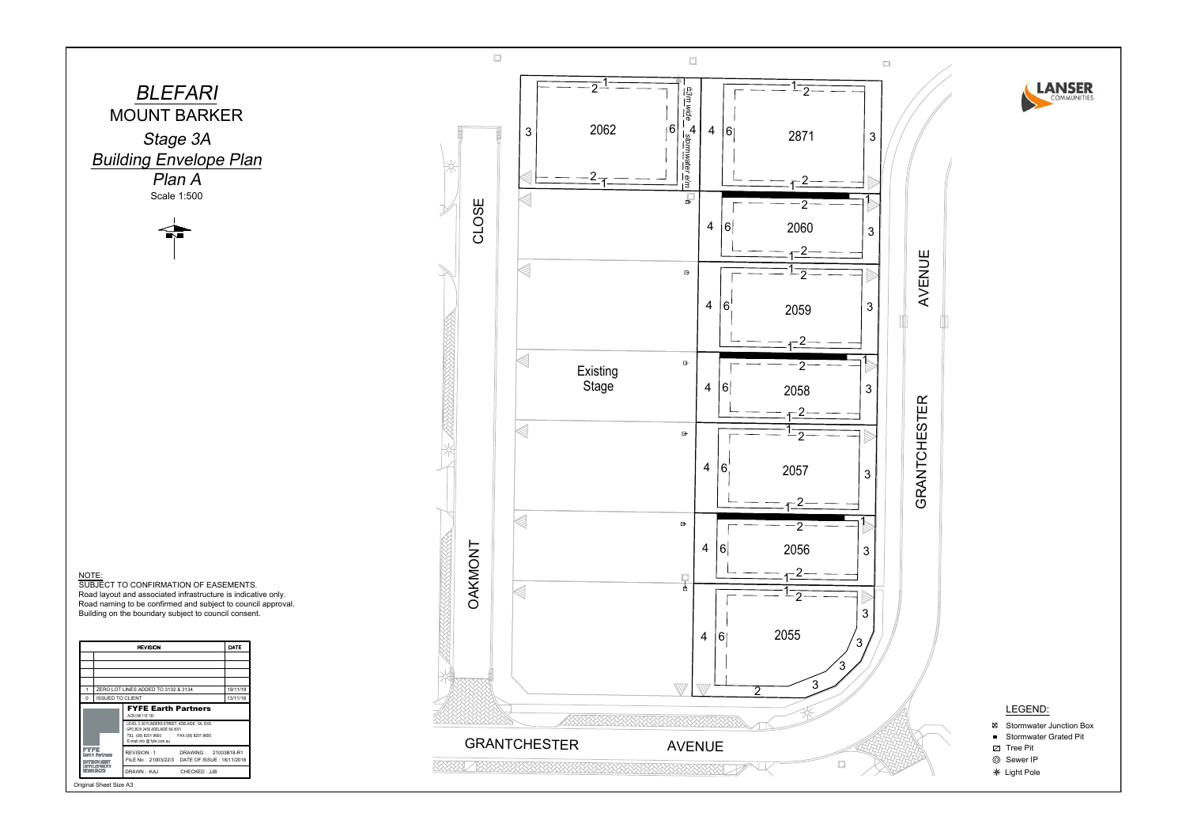